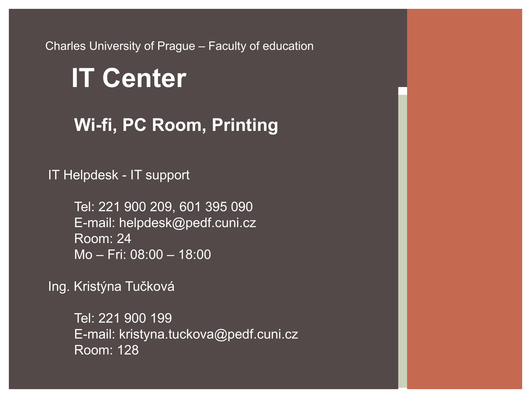Charles University of Prague – Faculty of education

# **IT Center**

**Wi-fi, PC Room, Printing**

IT Helpdesk - IT support

Tel: 221 900 209, 601 395 090 E-mail: helpdesk@pedf.cuni.cz Room: 24 Mo – Fri: 08:00 – 18:00

Ing. Kristýna Tučková

Tel: 221 900 199 E-mail: kristyna.tuckova@pedf.cuni.cz Room: 128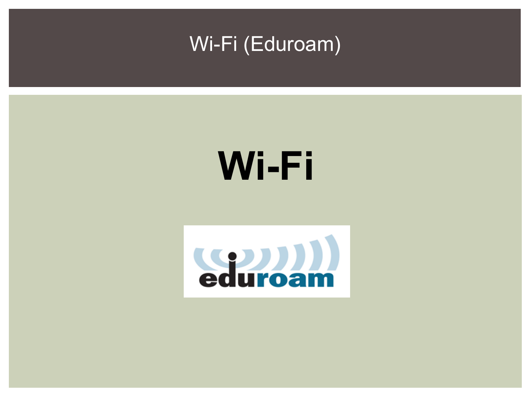

# **Wi-Fi**

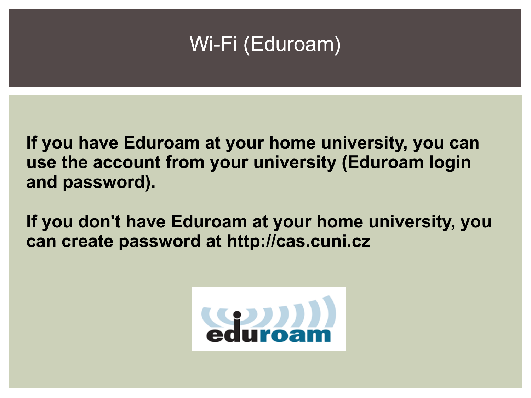**If you have Eduroam at your home university, you can use the account from your university (Eduroam login and password).**

**If you don't have Eduroam at your home university, you can create password at http://cas.cuni.cz**

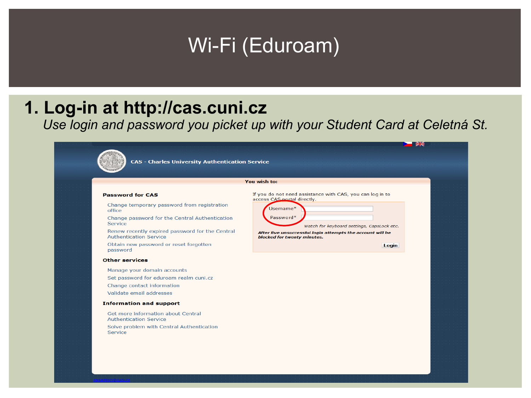#### **1. Log-in at http://cas.cuni.cz**

*Use login and password you picket up with your Student Card at Celetná St.* 

 $\sim$   $\sim$ 

You



**CAS - Charles University Authentication Service** 

#### **Password for CAS**

Change temporary password from registration office

Change password for the Central Authentication Service

Renew recently expired password for the Central **Authentication Service** 

Obtain new password or reset forgotten password

#### **Other services**

Manage your domain accounts Set password for eduroam realm cuni.cz Change contact information Validate email addresses

#### **Information and support**

Get more information about Central **Authentication Service** Solve problem with Central Authentication Service

| ı wısh to:                                                                              |  |
|-----------------------------------------------------------------------------------------|--|
|                                                                                         |  |
| f you do not need assistance with CAS, you can log in to<br>access CAS portal directly. |  |
| Usemame*                                                                                |  |
| Password*                                                                               |  |
| Watch for keyboard settings, CapsLock etc.                                              |  |

After five unsuccessful login attempts the account will be blocked for twenty minutes.

Login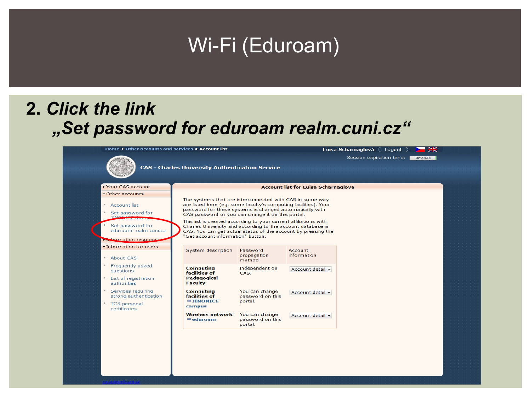#### **2.** *Click the link "Set password for eduroam realm.cuni.cz"*

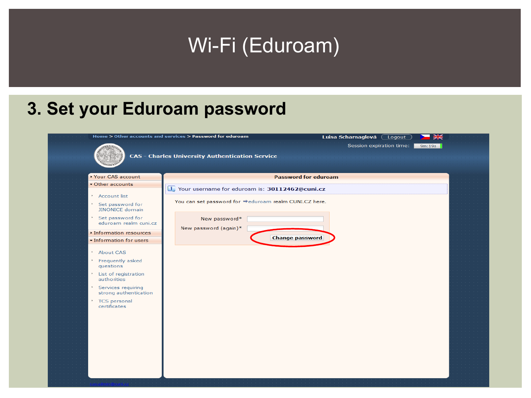#### **3. Set your Eduroam password**

|                                                                                                                                                                                        | Home > Other accounts and services > Password for eduroam              | Luisa Scharnaglová (<br>Logout | $rac{1}{200}$ |
|----------------------------------------------------------------------------------------------------------------------------------------------------------------------------------------|------------------------------------------------------------------------|--------------------------------|---------------|
|                                                                                                                                                                                        | <b>CAS - Charles University Authentication Service</b>                 | Session expiration time:       | 9m:19s        |
| ▶ Your CAS account                                                                                                                                                                     |                                                                        | <b>Password for eduroam</b>    |               |
| Other accounts                                                                                                                                                                         | Your username for eduroam is: 30112462@cuni.cz                         |                                |               |
| * Account list<br>* Set password for<br><b>JINONICE domain</b><br>* Set password for                                                                                                   | You can set password for ⇒eduroam realm CUNI.CZ here.<br>New password* |                                |               |
| eduroam realm cuni.cz                                                                                                                                                                  |                                                                        |                                |               |
| Information resources                                                                                                                                                                  | New password (again)*                                                  |                                |               |
| · Information for users                                                                                                                                                                |                                                                        | <b>Change password</b>         |               |
| * About CAS<br>* Frequently asked<br>questions<br>List of registration<br>authorities<br>Services requiring<br>$\mathbb{R}^+$<br>strong authentication<br>TCS personal<br>certificates |                                                                        |                                |               |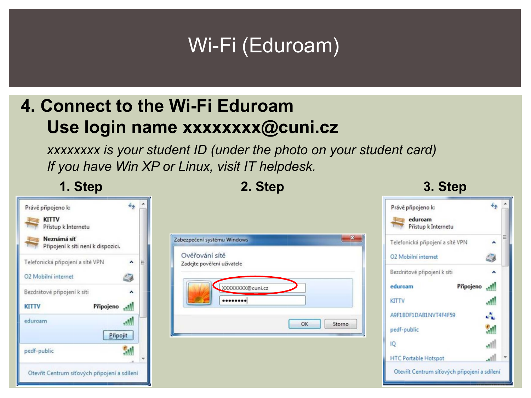#### **4. Connect to the Wi-Fi Eduroam Use login name [xxxxxxxx@cuni.cz](mailto:xxxxxxxx@cuni.cz)**

*xxxxxxxx is your student ID (under the photo on your student card) If you have Win XP or Linux, visit IT helpdesk.*



#### **1. Step 2. Step 3. Step**

 $4\sigma$ 

Ø

 $\hat{\phantom{a}}$ 

-M

اللم

A

ŠМ

<u>الله،</u>

.nll

Připojeno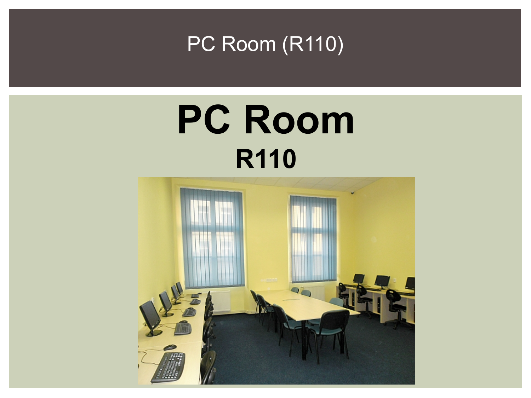

# **PC Room R110**

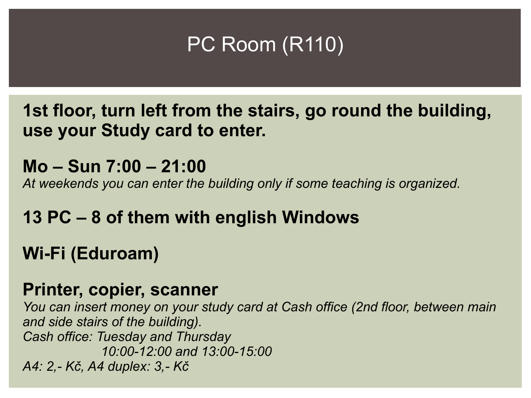

**1st floor, turn left from the stairs, go round the building, use your Study card to enter.**

**Mo – Sun 7:00 – 21:00** *At weekends you can enter the building only if some teaching is organized.*

#### **13 PC – 8 of them with english Windows**

#### **Wi-Fi (Eduroam)**

#### **Printer, copier, scanner**

*You can insert money on your study card at Cash office (2nd floor, between main and side stairs of the building). Cash office: Tuesday and Thursday 10:00-12:00 and 13:00-15:00 A4: 2,- Kč, A4 duplex: 3,- Kč*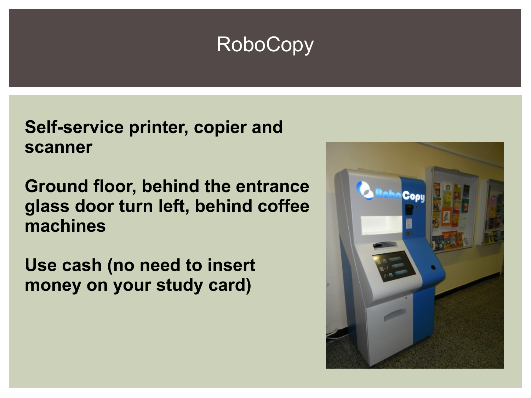### RoboCopy

**Self-service printer, copier and scanner** 

**Ground floor, behind the entrance glass door turn left, behind coffee machines**

**Use cash (no need to insert money on your study card)**